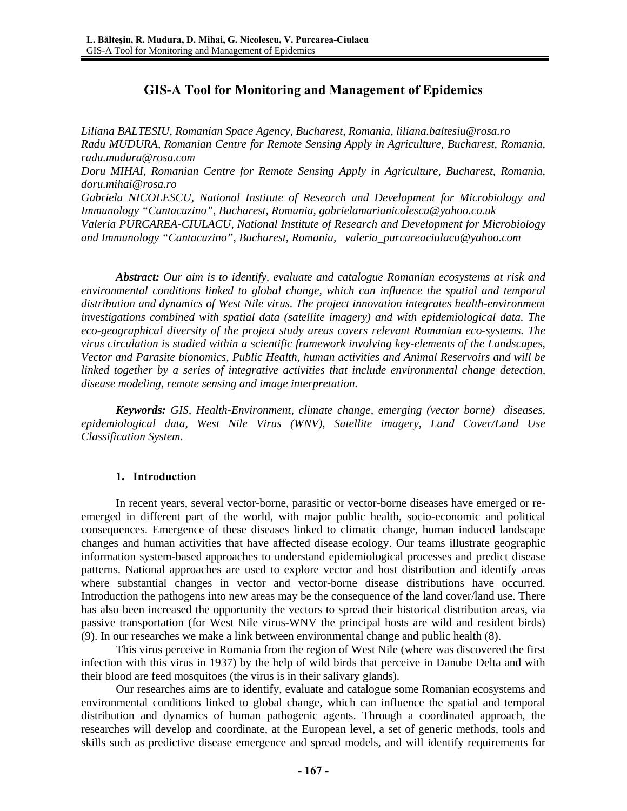# **GIS-A Tool for Monitoring and Management of Epidemics**

*Liliana BALTESIU, Romanian Space Agency, Bucharest, Romania, liliana.baltesiu@rosa.ro Radu MUDURA, Romanian Centre for Remote Sensing Apply in Agriculture, Bucharest, Romania, radu.mudura@rosa.com Doru MIHAI, Romanian Centre for Remote Sensing Apply in Agriculture, Bucharest, Romania, doru.mihai@rosa.ro Gabriela NICOLESCU, National Institute of Research and Development for Microbiology and Immunology "Cantacuzino", Bucharest, Romania, gabrielamarianicolescu@yahoo.co.uk Valeria PURCAREA-CIULACU, National Institute of Research and Development for Microbiology and Immunology "Cantacuzino", Bucharest, Romania, valeria\_purcareaciulacu@yahoo.com* 

*Abstract: Our aim is to identify, evaluate and catalogue Romanian ecosystems at risk and environmental conditions linked to global change, which can influence the spatial and temporal distribution and dynamics of West Nile virus. The project innovation integrates health-environment investigations combined with spatial data (satellite imagery) and with epidemiological data. The eco-geographical diversity of the project study areas covers relevant Romanian eco-systems. The virus circulation is studied within a scientific framework involving key-elements of the Landscapes, Vector and Parasite bionomics, Public Health, human activities and Animal Reservoirs and will be linked together by a series of integrative activities that include environmental change detection, disease modeling, remote sensing and image interpretation.* 

*Keywords: GIS, Health-Environment, climate change, emerging (vector borne) diseases, epidemiological data, West Nile Virus (WNV), Satellite imagery, Land Cover/Land Use Classification System.* 

### **1. Introduction**

In recent years, several vector-borne, parasitic or vector-borne diseases have emerged or reemerged in different part of the world, with major public health, socio-economic and political consequences. Emergence of these diseases linked to climatic change, human induced landscape changes and human activities that have affected disease ecology. Our teams illustrate geographic information system-based approaches to understand epidemiological processes and predict disease patterns. National approaches are used to explore vector and host distribution and identify areas where substantial changes in vector and vector-borne disease distributions have occurred. Introduction the pathogens into new areas may be the consequence of the land cover/land use. There has also been increased the opportunity the vectors to spread their historical distribution areas, via passive transportation (for West Nile virus-WNV the principal hosts are wild and resident birds) (9). In our researches we make a link between environmental change and public health (8).

This virus perceive in Romania from the region of West Nile (where was discovered the first infection with this virus in 1937) by the help of wild birds that perceive in Danube Delta and with their blood are feed mosquitoes (the virus is in their salivary glands).

Our researches aims are to identify, evaluate and catalogue some Romanian ecosystems and environmental conditions linked to global change, which can influence the spatial and temporal distribution and dynamics of human pathogenic agents. Through a coordinated approach, the researches will develop and coordinate, at the European level, a set of generic methods, tools and skills such as predictive disease emergence and spread models, and will identify requirements for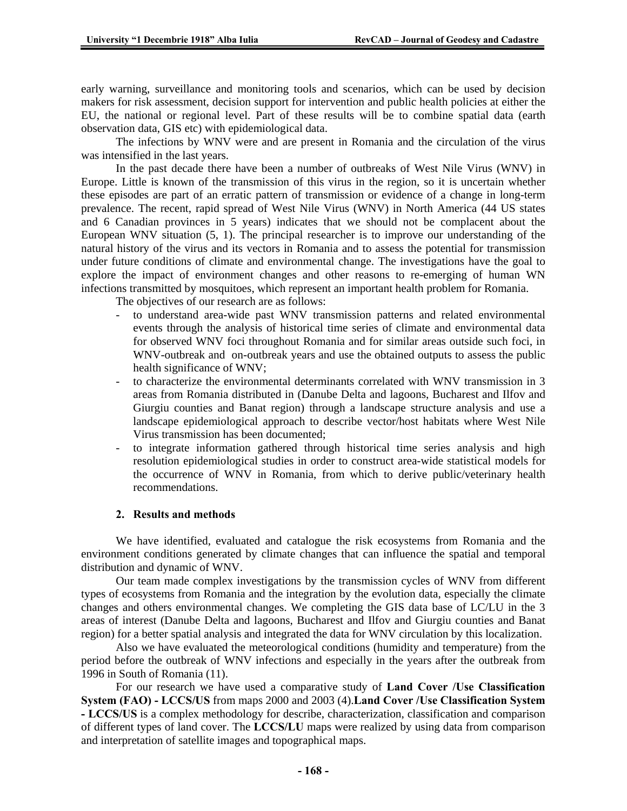early warning, surveillance and monitoring tools and scenarios, which can be used by decision makers for risk assessment, decision support for intervention and public health policies at either the EU, the national or regional level. Part of these results will be to combine spatial data (earth observation data, GIS etc) with epidemiological data.

The infections by WNV were and are present in Romania and the circulation of the virus was intensified in the last years.

In the past decade there have been a number of outbreaks of West Nile Virus (WNV) in Europe. Little is known of the transmission of this virus in the region, so it is uncertain whether these episodes are part of an erratic pattern of transmission or evidence of a change in long-term prevalence. The recent, rapid spread of West Nile Virus (WNV) in North America (44 US states and 6 Canadian provinces in 5 years) indicates that we should not be complacent about the European WNV situation (5, 1). The principal researcher is to improve our understanding of the natural history of the virus and its vectors in Romania and to assess the potential for transmission under future conditions of climate and environmental change. The investigations have the goal to explore the impact of environment changes and other reasons to re-emerging of human WN infections transmitted by mosquitoes, which represent an important health problem for Romania.

The objectives of our research are as follows:

- to understand area-wide past WNV transmission patterns and related environmental events through the analysis of historical time series of climate and environmental data for observed WNV foci throughout Romania and for similar areas outside such foci, in WNV-outbreak and on-outbreak years and use the obtained outputs to assess the public health significance of WNV;
- to characterize the environmental determinants correlated with WNV transmission in 3 areas from Romania distributed in (Danube Delta and lagoons, Bucharest and Ilfov and Giurgiu counties and Banat region) through a landscape structure analysis and use a landscape epidemiological approach to describe vector/host habitats where West Nile Virus transmission has been documented;
- to integrate information gathered through historical time series analysis and high resolution epidemiological studies in order to construct area-wide statistical models for the occurrence of WNV in Romania, from which to derive public/veterinary health recommendations.

#### **2. Results and methods**

We have identified, evaluated and catalogue the risk ecosystems from Romania and the environment conditions generated by climate changes that can influence the spatial and temporal distribution and dynamic of WNV.

Our team made complex investigations by the transmission cycles of WNV from different types of ecosystems from Romania and the integration by the evolution data, especially the climate changes and others environmental changes. We completing the GIS data base of LC/LU in the 3 areas of interest (Danube Delta and lagoons, Bucharest and Ilfov and Giurgiu counties and Banat region) for a better spatial analysis and integrated the data for WNV circulation by this localization.

Also we have evaluated the meteorological conditions (humidity and temperature) from the period before the outbreak of WNV infections and especially in the years after the outbreak from 1996 in South of Romania (11).

For our research we have used a comparative study of **Land Cover /Use Classification System (FAO) - LCCS/US** from maps 2000 and 2003 (4).**Land Cover /Use Classification System - LCCS/US** is a complex methodology for describe, characterization, classification and comparison of different types of land cover. The **LCCS/LU** maps were realized by using data from comparison and interpretation of satellite images and topographical maps.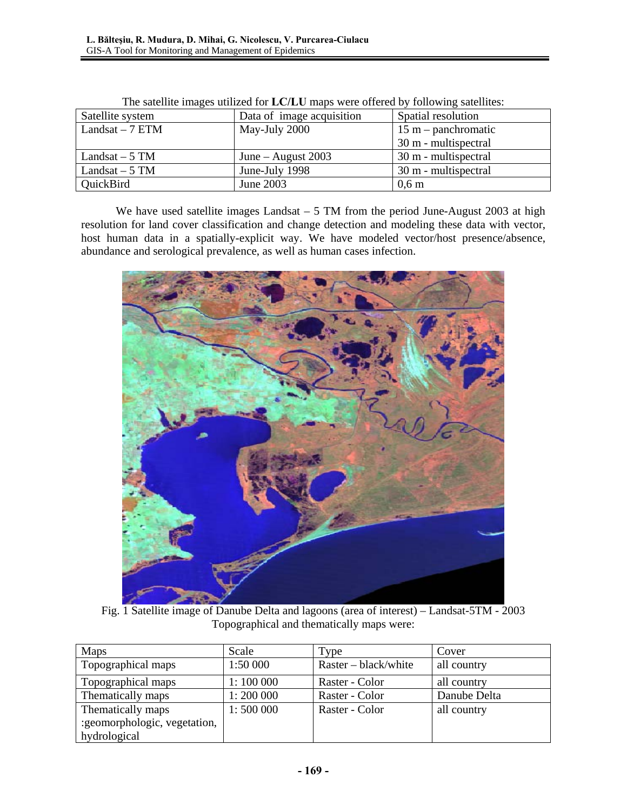| Satellite system | Data of image acquisition | Spatial resolution    |
|------------------|---------------------------|-----------------------|
| Landsat $-7$ ETM | May-July 2000             | $15 m$ – panchromatic |
|                  |                           | 30 m - multispectral  |
| Landsat $-5$ TM  | June – August $2003$      | 30 m - multispectral  |
| Landsat $-5$ TM  | June-July 1998            | 30 m - multispectral  |
| QuickBird        | June 2003                 | $0,6 \text{ m}$       |

| The satellite images utilized for LC/LU maps were offered by following satellites: |  |
|------------------------------------------------------------------------------------|--|
|                                                                                    |  |

We have used satellite images Landsat – 5 TM from the period June-August 2003 at high resolution for land cover classification and change detection and modeling these data with vector, host human data in a spatially-explicit way. We have modeled vector/host presence/absence, abundance and serological prevalence, as well as human cases infection.



Fig. 1 Satellite image of Danube Delta and lagoons (area of interest) – Landsat-5TM - 2003 Topographical and thematically maps were:

| <b>Maps</b>                  | Scale     | Type                 | Cover        |
|------------------------------|-----------|----------------------|--------------|
| Topographical maps           | 1:50 000  | Raster – black/white | all country  |
| Topographical maps           | 1:100000  | Raster - Color       | all country  |
| Thematically maps            | 1:200 000 | Raster - Color       | Danube Delta |
| Thematically maps            | 1:500000  | Raster - Color       | all country  |
| :geomorphologic, vegetation, |           |                      |              |
| hydrological                 |           |                      |              |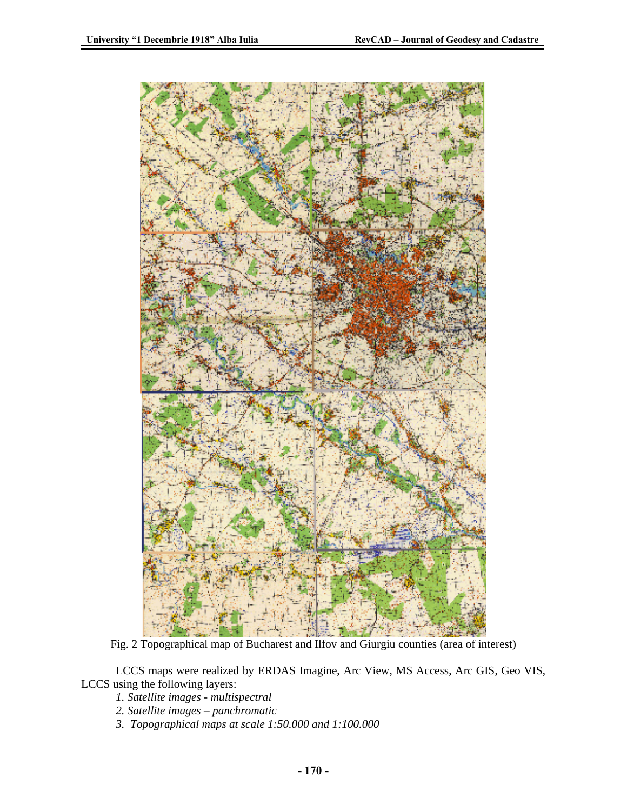

Fig. 2 Topographical map of Bucharest and Ilfov and Giurgiu counties (area of interest)

LCCS maps were realized by ERDAS Imagine, Arc View, MS Access, Arc GIS, Geo VIS, LCCS using the following layers:

- *1. Satellite images multispectral*
- *2. Satellite images panchromatic*
- *3. Topographical maps at scale 1:50.000 and 1:100.000*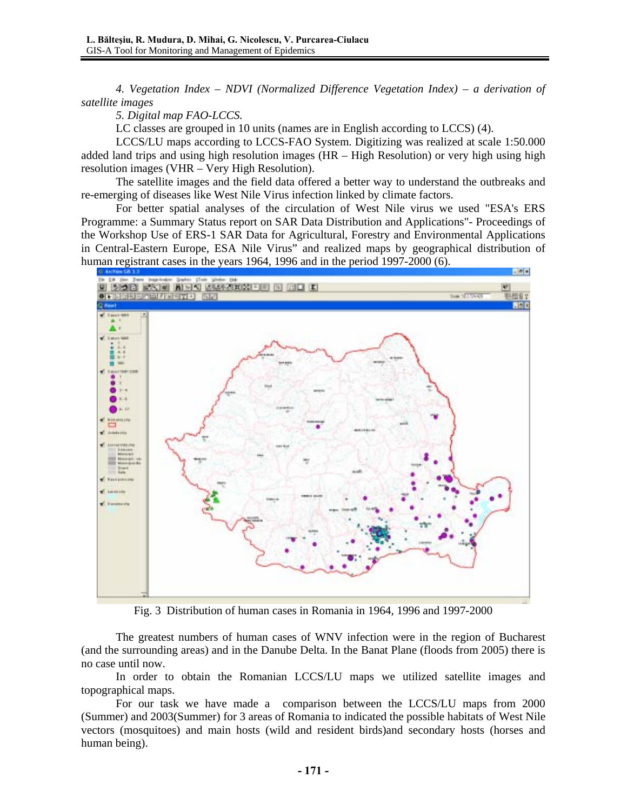*4. Vegetation Index – NDVI (Normalized Difference Vegetation Index) – a derivation of satellite images* 

*5. Digital map FAO-LCCS.* 

LC classes are grouped in 10 units (names are in English according to LCCS) (4).

LCCS/LU maps according to LCCS-FAO System. Digitizing was realized at scale 1:50.000 added land trips and using high resolution images (HR – High Resolution) or very high using high resolution images (VHR – Very High Resolution).

The satellite images and the field data offered a better way to understand the outbreaks and re-emerging of diseases like West Nile Virus infection linked by climate factors.

For better spatial analyses of the circulation of West Nile virus we used "ESA's ERS Programme: a Summary Status report on SAR Data Distribution and Applications"- Proceedings of the Workshop Use of ERS-1 SAR Data for Agricultural, Forestry and Environmental Applications in Central-Eastern Europe, ESA Nile Virus" and realized maps by geographical distribution of human registrant cases in the years 1964, 1996 and in the period 1997-2000 (6).



Fig. 3 Distribution of human cases in Romania in 1964, 1996 and 1997-2000

The greatest numbers of human cases of WNV infection were in the region of Bucharest (and the surrounding areas) and in the Danube Delta. In the Banat Plane (floods from 2005) there is no case until now.

In order to obtain the Romanian LCCS/LU maps we utilized satellite images and topographical maps.

For our task we have made a comparison between the LCCS/LU maps from 2000 (Summer) and 2003(Summer) for 3 areas of Romania to indicated the possible habitats of West Nile vectors (mosquitoes) and main hosts (wild and resident birds)and secondary hosts (horses and human being).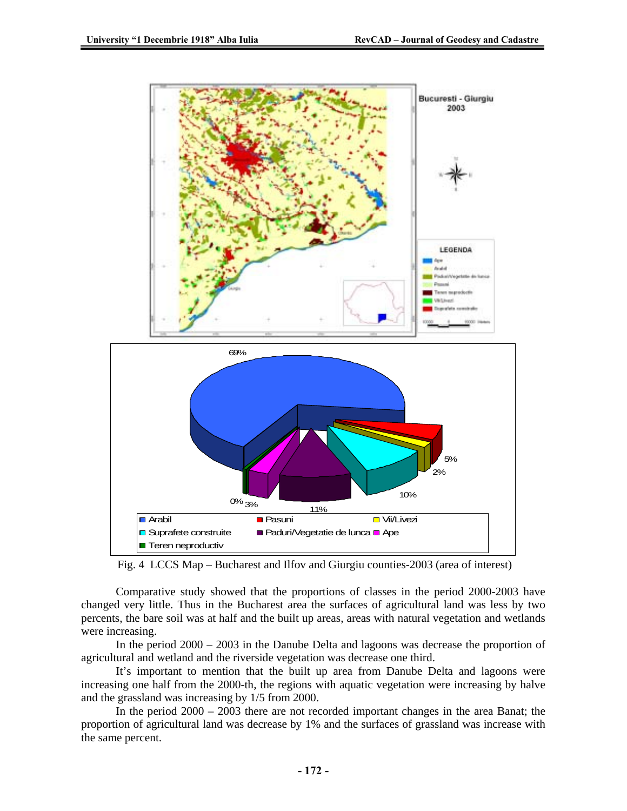

Fig. 4 LCCS Map – Bucharest and Ilfov and Giurgiu counties-2003 (area of interest)

Comparative study showed that the proportions of classes in the period 2000-2003 have changed very little. Thus in the Bucharest area the surfaces of agricultural land was less by two percents, the bare soil was at half and the built up areas, areas with natural vegetation and wetlands were increasing.

In the period 2000 – 2003 in the Danube Delta and lagoons was decrease the proportion of agricultural and wetland and the riverside vegetation was decrease one third.

It's important to mention that the built up area from Danube Delta and lagoons were increasing one half from the 2000-th, the regions with aquatic vegetation were increasing by halve and the grassland was increasing by 1/5 from 2000.

In the period 2000 – 2003 there are not recorded important changes in the area Banat; the proportion of agricultural land was decrease by 1% and the surfaces of grassland was increase with the same percent.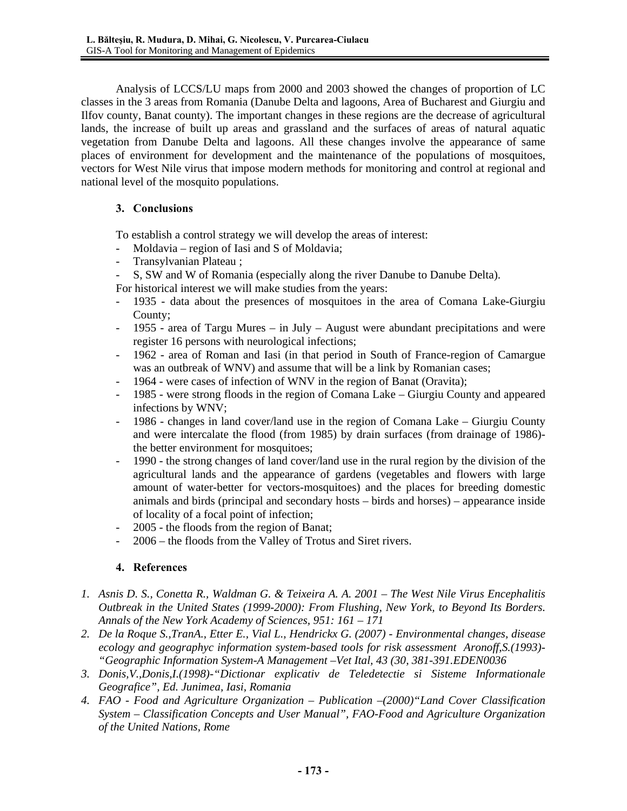Analysis of LCCS/LU maps from 2000 and 2003 showed the changes of proportion of LC classes in the 3 areas from Romania (Danube Delta and lagoons, Area of Bucharest and Giurgiu and Ilfov county, Banat county). The important changes in these regions are the decrease of agricultural lands, the increase of built up areas and grassland and the surfaces of areas of natural aquatic vegetation from Danube Delta and lagoons. All these changes involve the appearance of same places of environment for development and the maintenance of the populations of mosquitoes, vectors for West Nile virus that impose modern methods for monitoring and control at regional and national level of the mosquito populations.

## **3. Conclusions**

To establish a control strategy we will develop the areas of interest:

- Moldavia region of Iasi and S of Moldavia;
- Transylvanian Plateau ;
- S, SW and W of Romania (especially along the river Danube to Danube Delta).

For historical interest we will make studies from the years:

- 1935 data about the presences of mosquitoes in the area of Comana Lake-Giurgiu County;
- $1955$  area of Targu Mures in July August were abundant precipitations and were register 16 persons with neurological infections;
- 1962 area of Roman and Iasi (in that period in South of France-region of Camargue was an outbreak of WNV) and assume that will be a link by Romanian cases;
- 1964 were cases of infection of WNV in the region of Banat (Oravita);
- 1985 were strong floods in the region of Comana Lake Giurgiu County and appeared infections by WNV;
- 1986 changes in land cover/land use in the region of Comana Lake Giurgiu County and were intercalate the flood (from 1985) by drain surfaces (from drainage of 1986) the better environment for mosquitoes;
- 1990 the strong changes of land cover/land use in the rural region by the division of the agricultural lands and the appearance of gardens (vegetables and flowers with large amount of water-better for vectors-mosquitoes) and the places for breeding domestic animals and birds (principal and secondary hosts – birds and horses) – appearance inside of locality of a focal point of infection;
- 2005 the floods from the region of Banat;
- 2006 the floods from the Valley of Trotus and Siret rivers.

### **4. References**

- *1. Asnis D. S., Conetta R., Waldman G. & Teixeira A. A. 2001 The West Nile Virus Encephalitis Outbreak in the United States (1999-2000): From Flushing, New York, to Beyond Its Borders. Annals of the New York Academy of Sciences, 951: 161 – 171*
- *2. De la Roque S.,TranA., Etter E., Vial L., Hendrickx G. (2007) Environmental changes, disease ecology and geographyc information system-based tools for risk assessment Aronoff,S.(1993)- "Geographic Information System-A Management –Vet Ital, 43 (30, 381-391.EDEN0036*
- *3. Donis,V.,Donis,I.(1998)-"Dictionar explicativ de Teledetectie si Sisteme Informationale Geografice", Ed. Junimea, Iasi, Romania*
- *4. FAO Food and Agriculture Organization Publication –(2000)"Land Cover Classification System – Classification Concepts and User Manual", FAO-Food and Agriculture Organization of the United Nations, Rome*